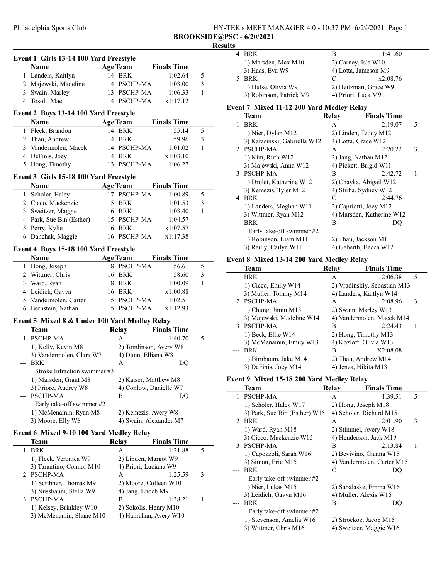## Philadelphia Sports Club HY-TEK's MEET MANAGER 4.0 - 10:37 PM 6/29/2021 Page 1 BROOKSIDE@PSC - 6/20/2021

## **Results**

|              | Event 1 Girls 13-14 100 Yard Freestyle        |                        |                        |   |
|--------------|-----------------------------------------------|------------------------|------------------------|---|
|              | Name                                          | <b>Age Team</b>        | <b>Finals Time</b>     |   |
|              | 1 Landers, Kaitlyn                            | 14 BRK                 | 1:02.64                | 5 |
|              | 2 Majewski, Madeline                          | 14 PSCHP-MA            | 1:03.00                | 3 |
|              | 3 Swain, Marley                               | 13 PSCHP-MA            | 1:06.33                | 1 |
|              | 4 Tosolt, Mae                                 | 14 PSCHP-MA            | x1:17.12               |   |
|              |                                               |                        |                        |   |
|              | Event 2 Boys 13-14 100 Yard Freestyle         |                        | <b>Finals Time</b>     |   |
|              | Name                                          | <b>Age Team</b>        |                        |   |
|              | 1 Fleck, Brandon                              | 14 BRK                 | 55.14                  | 5 |
|              | 2 Thau, Andrew                                | 14 BRK                 | 59.96                  | 3 |
|              | 3 Vandermolen, Macek                          | 14 PSCHP-MA            | 1:01.02                | 1 |
|              | 4 DeFinis, Joey                               | 14 BRK                 | x1:03.10               |   |
| 5            | Hong, Timothy                                 | 13 PSCHP-MA            | 1:06.27                |   |
|              | Event 3 Girls 15-18 100 Yard Freestyle        |                        |                        |   |
|              | Name                                          | <b>Age Team</b>        | <b>Finals Time</b>     |   |
|              | 1 Scholer, Haley                              | 17 PSCHP-MA            | 1:00.89                | 5 |
|              | 2 Cicco, Mackenzie                            | 15 BRK                 | 1:01.53                | 3 |
|              | 3 Sweitzer, Maggie                            | 16 BRK                 | 1:03.40                | 1 |
|              | 4 Park, Sue Bin (Esther)                      | 15 PSCHP-MA            | 1:04.57                |   |
|              | 5 Perry, Kylie                                | 16 BRK                 | x1:07.57               |   |
|              | 6 Danchak, Maggie                             | 16 PSCHP-MA            | x1:17.38               |   |
|              |                                               |                        |                        |   |
|              | Event 4 Boys 15-18 100 Yard Freestyle         |                        |                        |   |
|              | <b>Name</b>                                   | <b>Age Team</b>        | <b>Finals Time</b>     |   |
|              | 1 Hong, Joseph                                | 18 PSCHP-MA            | 56.61                  | 5 |
|              | 2 Wittmer, Chris                              | 16 BRK                 | 58.60                  | 3 |
|              | 3 Ward, Ryan                                  | 18 BRK                 | 1:00.09                | 1 |
|              | 4 Leidich, Gavyn                              | 16 BRK                 | x1:00.88               |   |
|              | 5 Vandermolen, Carter                         | 15 PSCHP-MA            | 1:02.51                |   |
|              | 6 Bernstein, Nathan                           | 15 PSCHP-MA            | x1:12.93               |   |
|              | Event 5 Mixed 8 & Under 100 Yard Medley Relay |                        |                        |   |
|              | <b>Team</b>                                   | Relay                  | <b>Finals Time</b>     |   |
| $\mathbf{1}$ | <b>PSCHP-MA</b>                               | A                      | 1:40.70                | 5 |
|              | 1) Kelly, Kevin M8                            |                        | 2) Tomlinson, Avery W8 |   |
|              | 3) Vandermolen, Clara W7                      | 4) Dunn, Elliana W8    |                        |   |
|              | <b>BRK</b>                                    | A                      | DO                     |   |
|              | Stroke Infraction swimmer #3                  |                        |                        |   |
|              | 1) Marsden, Grant M8                          | 2) Kaiser, Matthew M8  |                        |   |
|              | 3) Priore, Audrey W8                          | 4) Conlow, Danielle W7 |                        |   |
|              | PSCHP-MA                                      | В                      | DQ                     |   |
|              | Early take-off swimmer #2                     |                        |                        |   |
|              | 1) McMenamin, Ryan M8                         | 2) Kemezis, Avery W8   |                        |   |
|              | 3) Moore, Elly W8                             |                        | 4) Swain, Alexander M7 |   |
|              |                                               |                        |                        |   |
|              | Event 6 Mixed 9-10 100 Yard Medley Relay      |                        |                        |   |
|              | Team                                          | <b>Relay</b>           | <b>Finals Time</b>     |   |
| 1            | <b>BRK</b>                                    | А                      | 1:21.88                | 5 |
|              | 1) Fleck, Veronica W9                         | 2) Linden, Margot W9   |                        |   |
|              | 3) Tarantino, Connor M10                      | 4) Priori, Luciana W9  |                        |   |
| 2            | PSCHP-MA                                      | A                      | 1:25.59                | 3 |
|              | 1) Scribner, Thomas M9                        | 2) Moore, Colleen W10  |                        |   |
|              | 3) Nussbaum, Stella W9                        | 4) Jang, Enoch M9      |                        |   |
| 3            | PSCHP-MA                                      | В                      | 1:38.21                | 1 |
|              | 1) Kelsey, Brinkley W10                       | 2) Sokolis, Henry M10  |                        |   |
|              | 3) McMenamin, Shane M10                       |                        | 4) Hanrahan, Avery W10 |   |

| BRK                     | в                  | 1:41.60               |
|-------------------------|--------------------|-----------------------|
| 1) Marsden, Max M10     |                    | $2)$ Carney, Isla W10 |
| 3) Haas, Eva W9         |                    | 4) Lotta, Jameson M9  |
| 5 BRK                   | C                  | x2:08.76              |
| 1) Hulse, Olivia W9     |                    | 2) Heitzman, Grace W9 |
| 3) Robinson, Patrick M9 | 4) Priori, Luca M9 |                       |

## Event 7 Mixed 11-12 200 Yard Medley Relay

|   | <b>Team</b>                  | Relay | <b>Finals Time</b>        |   |
|---|------------------------------|-------|---------------------------|---|
| 1 | <b>BRK</b>                   | A     | 2:19.07                   | 5 |
|   | 1) Nier, Dylan M12           |       | 2) Linden, Teddy M12      |   |
|   | 3) Karasinski, Gabriella W12 |       | 4) Lotta, Grace W12       |   |
|   | 2 PSCHP-MA                   | А     | 2:20.22                   | 3 |
|   | 1) Kim, Ruth W12             |       | 2) Jang, Nathan M12       |   |
|   | 3) Majewski, Anna W12        |       | 4) Pickett, Brigid W11    |   |
|   | 3 PSCHP-MA                   | B     | 2:42.72                   | 1 |
|   | 1) Drolet, Katherine W12     |       | 2) Chayka, Abigail W12    |   |
|   | 3) Kemezis, Tyler M12        |       | 4) Stirba, Sydney W12     |   |
| 4 | <b>BRK</b>                   | C     | 2:44.76                   |   |
|   | 1) Landers, Meghan W11       |       | 2) Capriotti, Joey M12    |   |
|   | 3) Wittmer, Ryan M12         |       | 4) Marsden, Katherine W12 |   |
|   | <b>BRK</b>                   | B     | DQ                        |   |
|   | Early take-off swimmer #2    |       |                           |   |
|   | 1) Robinson, Liam M11        |       | 2) Thau, Jackson M11      |   |
|   | 3) Reilly, Cailyn W11        |       | 4) Geberth, Becca W12     |   |

## Event 8 Mixed 13-14 200 Yard Medley Relay

|   | <b>Team</b>               | Relay | <b>Finals Time</b>           |   |
|---|---------------------------|-------|------------------------------|---|
| 1 | <b>BRK</b>                | А     | 2:06.38                      | 5 |
|   | 1) Cicco, Emily W14       |       | 2) Vradinskiy, Sebastian M13 |   |
|   | 3) Muller, Tommy M14      |       | 4) Landers, Kaitlyn W14      |   |
|   | 2 PSCHP-MA                | А     | 2:08.96                      | 3 |
|   | 1) Chung, Jimin M13       |       | 2) Swain, Marley W13         |   |
|   | 3) Majewski, Madeline W14 |       | 4) Vandermolen, Macek M14    |   |
|   | 3 PSCHP-MA                | В     | 2:24.43                      |   |
|   | 1) Beck, Ellie W14        |       | 2) Hong, Timothy M13         |   |
|   | 3) McMenamin, Emily W13   |       | 4) Kozloff, Olivia W13       |   |
|   | <b>BRK</b>                | В     | X2:08.08                     |   |
|   | 1) Birnbaum, Jake M14     |       | 2) Thau, Andrew M14          |   |
|   | 3) DeFinis, Joey M14      |       | 4) Jenza, Nikita M13         |   |

#### Event 9 Mixed 15-18 200 Yard Medley Relay

|   | Team                          | Relay | <b>Finals Time</b>         |   |
|---|-------------------------------|-------|----------------------------|---|
| 1 | <b>PSCHP-MA</b>               | A     | 1:39.51                    | 5 |
|   | 1) Scholer, Haley W17         |       | 2) Hong, Joseph M18        |   |
|   | 3) Park, Sue Bin (Esther) W15 |       | 4) Scholer, Richard M15    |   |
|   | 2 BRK                         | A     | 2:01.90                    | 3 |
|   | 1) Ward, Ryan M18             |       | 2) Stimmel, Avery W18      |   |
|   | 3) Cicco, Mackenzie W15       |       | 4) Henderson, Jack M19     |   |
|   | 3 PSCHP-MA                    | В     | 2:13.84                    | 1 |
|   | 1) Capozzoli, Sarah W16       |       | 2) Bevivino, Gianna W15    |   |
|   | 3) Simon, Eric M15            |       | 4) Vandermolen, Carter M15 |   |
|   | <b>BRK</b>                    | C     | DO                         |   |
|   | Early take-off swimmer #2     |       |                            |   |
|   | 1) Nier, Lukas M15            |       | 2) Sabalaske, Emma W16     |   |
|   | 3) Leidich, Gavyn M16         |       | 4) Muller, Alexis W16      |   |
|   | <b>BRK</b>                    | B     | DO                         |   |
|   | Early take-off swimmer #2     |       |                            |   |
|   | 1) Stevenson, Amelia W16      |       | 2) Strockoz, Jacob M15     |   |
|   | 3) Wittmer, Chris M16         |       | 4) Sweitzer, Maggie W16    |   |
|   |                               |       |                            |   |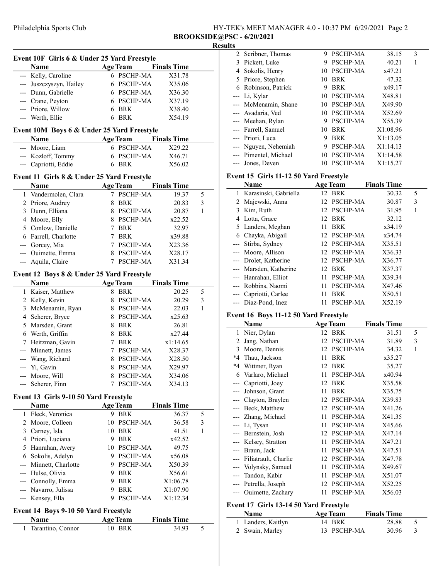| HY-TEK's MEET MANAGER 4.0 - 10:37 PM 6/29/2021 Page 2 |  |
|-------------------------------------------------------|--|
| <b>BROOKSIDE@PSC - 6/20/2021</b>                      |  |

#### **Results**

|                     | Event 10F Girls 6 & Under 25 Yard Freestyle<br>Name |   | <b>Age Team</b>      | <b>Finals Time</b> |        |
|---------------------|-----------------------------------------------------|---|----------------------|--------------------|--------|
|                     | --- Kelly, Caroline                                 |   | 6 PSCHP-MA           | X31.78             |        |
|                     | --- Juszczyszyn, Hailey                             | 6 | PSCHP-MA             | X35.06             |        |
|                     | --- Dunn, Gabrielle                                 |   | 6 PSCHP-MA           | X36.30             |        |
|                     | --- Crane, Peyton                                   |   | 6 PSCHP-MA           | X37.19             |        |
|                     | --- Priore, Willow                                  | 6 | BRK                  | X38.40             |        |
| ---                 | Werth, Ellie                                        | 6 | <b>BRK</b>           | X54.19             |        |
|                     |                                                     |   |                      |                    |        |
|                     | Event 10M Boys 6 & Under 25 Yard Freestyle          |   |                      |                    |        |
|                     | Name                                                |   | <b>Age Team</b>      | <b>Finals Time</b> |        |
|                     | --- Moore, Liam                                     |   | 6 PSCHP-MA           | X29.22             |        |
|                     | --- Kozloff, Tommy                                  | 6 | <b>PSCHP-MA</b>      | X46.71             |        |
|                     | --- Capriotti, Eddie                                | 6 | BRK                  | X56.02             |        |
|                     | Event 11 Girls 8 & Under 25 Yard Freestyle          |   |                      |                    |        |
|                     | Name                                                |   | <b>Age Team</b>      | <b>Finals Time</b> |        |
|                     | 1 Vandermolen, Clara                                |   | 7 PSCHP-MA           | 19.37              | 5      |
|                     | 2 Priore, Audrey                                    | 8 | BRK                  | 20.83              | 3      |
|                     | 3 Dunn, Elliana                                     |   | 8 PSCHP-MA           | 20.87              | 1      |
|                     | 4 Moore, Elly                                       |   | 8 PSCHP-MA           | x22.52             |        |
|                     | 5 Conlow, Danielle                                  | 7 | <b>BRK</b>           | 32.97              |        |
|                     | 6 Farrell, Charlotte                                | 7 | <b>BRK</b>           | x39.88             |        |
| ---                 | Gorcey, Mia                                         |   | 7 PSCHP-MA           | X23.36             |        |
| ---                 | Ouimette, Emma                                      |   | 8 PSCHP-MA           | X28.17             |        |
| ---                 | Aquila, Claire                                      |   | 7 PSCHP-MA           | X31.34             |        |
|                     | Event 12 Boys 8 & Under 25 Yard Freestyle           |   |                      |                    |        |
|                     | Name                                                |   | <b>Age Team</b>      | <b>Finals Time</b> |        |
|                     | 1 Kaiser, Matthew                                   | 8 | BRK                  | 20.25              | 5      |
|                     | 2 Kelly, Kevin                                      | 8 | PSCHP-MA             | 20.29              | 3      |
|                     | 3 McMenamin, Ryan                                   |   | 8 PSCHP-MA           | 22.03              | 1      |
|                     | 4 Scherer, Bryce                                    |   | 8 PSCHP-MA           | x25.63             |        |
|                     | 5 Marsden, Grant                                    | 8 | <b>BRK</b>           | 26.81              |        |
|                     | 6 Werth, Griffin                                    | 8 | <b>BRK</b>           | x27.44             |        |
| 7                   | Heitzman, Gavin                                     | 7 | <b>BRK</b>           | x1:14.65           |        |
| ---                 | Minnett, James                                      | 7 | PSCHP-MA             | X28.37             |        |
| ---                 | Wang, Richard                                       |   | 8 PSCHP-MA           | X28.50             |        |
| ---                 | Yi, Gavin                                           |   | 8 PSCHP-MA           | X29.97             |        |
| ---                 | Moore, Will                                         | 8 | PSCHP-MA             | X34.06             |        |
|                     | --- Scherer, Finn                                   |   | 7 PSCHP-MA           | X34.13             |        |
|                     | Event 13 Girls 9-10 50 Yard Freestyle               |   |                      |                    |        |
|                     |                                                     |   |                      | <b>Finals Time</b> |        |
|                     | Name<br>Fleck, Veronica                             |   | <b>Age Team</b>      |                    |        |
| 1                   | 2 Moore, Colleen                                    |   | 9 BRK<br>10 PSCHP-MA | 36.37<br>36.58     | 5<br>3 |
|                     | 3 Carney, Isla                                      |   | 10 BRK               | 41.51              | 1      |
|                     | 4 Priori, Luciana                                   |   | 9 BRK                | x42.52             |        |
|                     | 5 Hanrahan, Avery                                   |   | 10 PSCHP-MA          | 49.75              |        |
|                     | 6 Sokolis, Adelyn                                   |   | 9 PSCHP-MA           | x56.08             |        |
| ---                 | Minnett, Charlotte                                  |   | 9 PSCHP-MA           | X50.39             |        |
|                     | --- Hulse, Olivia                                   |   | 9 BRK                | X56.61             |        |
|                     | --- Connolly, Emma                                  |   | 9 BRK                | X1:06.78           |        |
|                     | --- Navarro, Julissa                                |   | 9 BRK                | X1:07.90           |        |
| $\qquad \qquad - -$ | Kensey, Ella                                        | 9 | PSCHP-MA             | X1:12.34           |        |
|                     |                                                     |   |                      |                    |        |
|                     | Event 14 Boys 9-10 50 Yard Freestyle                |   |                      |                    |        |

| <b>Name</b>         | <b>Age Team</b> | <b>Finals Time</b> |  |
|---------------------|-----------------|--------------------|--|
| 1 Tarantino, Connor | 10 BRK          | 34.93              |  |

| 2 Scribner, Thomas    | 9  | <b>PSCHP-MA</b> | 38.15                                                                         | 3 |  |
|-----------------------|----|-----------------|-------------------------------------------------------------------------------|---|--|
| 3 Pickett, Luke       | 9  | <b>PSCHP-MA</b> | 40.21                                                                         |   |  |
| 4 Sokolis, Henry      |    |                 | x47.21                                                                        |   |  |
| 5 Priore, Stephen     | 10 | <b>BRK</b>      | 47.32                                                                         |   |  |
| 6 Robinson, Patrick   | 9  | <b>BRK</b>      | x49.17                                                                        |   |  |
| --- Li, Kylar         |    |                 | X48.81                                                                        |   |  |
| --- McMenamin, Shane  | 10 |                 | X49.90                                                                        |   |  |
| --- Avadaria, Ved     |    |                 | X52.69                                                                        |   |  |
| --- Meehan, Rylan     | 9  |                 | X55.39                                                                        |   |  |
| --- Farrell, Samuel   | 10 | <b>BRK</b>      | X1:08.96                                                                      |   |  |
| --- Priori, Luca      | 9  | <b>BRK</b>      | X1:13.05                                                                      |   |  |
| --- Nguyen, Nehemiah  | 9  | <b>PSCHP-MA</b> | X1:14.13                                                                      |   |  |
| --- Pimentel, Michael | 10 |                 | X1:14.58                                                                      |   |  |
| --- Jones, Deven      | 10 | <b>PSCHP-MA</b> | X1:15.27                                                                      |   |  |
|                       |    |                 | 10 PSCHP-MA<br>10 PSCHP-MA<br>PSCHP-MA<br>10 PSCHP-MA<br>PSCHP-MA<br>PSCHP-MA |   |  |

## Event 15 Girls 11-12 50 Yard Freestyle

|    | Name                   |     | <b>Age Team</b> | <b>Finals Time</b> |   |  |
|----|------------------------|-----|-----------------|--------------------|---|--|
| 1. | Karasinski, Gabriella  |     | 12 BRK          | 30.32              | 5 |  |
| 2  | Majewski, Anna         |     | 12 PSCHP-MA     | 30.87              | 3 |  |
| 3. | Kim, Ruth              |     | 12 PSCHP-MA     | 31.95              | 1 |  |
| 4  | Lotta, Grace           | 12. | BRK             | 32.12              |   |  |
|    | 5 Landers, Meghan      | 11  | <b>BRK</b>      | x34.19             |   |  |
|    | 6 Chayka, Abigail      |     | 12 PSCHP-MA     | x34.74             |   |  |
|    | --- Stirba, Sydney     |     | 12 PSCHP-MA     | X35.51             |   |  |
|    | --- Moore, Allison     |     | 12 PSCHP-MA     | X36.33             |   |  |
|    | --- Drolet, Katherine  |     | 12 PSCHP-MA     | X36.77             |   |  |
|    | --- Marsden, Katherine | 12  | BRK             | X37.37             |   |  |
|    | --- Hanrahan, Elliot   | 11  | PSCHP-MA        | X39.34             |   |  |
|    | --- Robbins, Naomi     | 11  | PSCHP-MA        | X47.46             |   |  |
|    | --- Capriotti, Carlee  | 11  | <b>BRK</b>      | X50.51             |   |  |
|    | --- Diaz-Pond, Inez    |     | <b>PSCHP-MA</b> | X52.19             |   |  |

## Event 16 Boys 11-12 50 Yard Freestyle

|       | Name                 |    | <b>Age Team</b> | <b>Finals Time</b> |   |
|-------|----------------------|----|-----------------|--------------------|---|
| 1     | Nier, Dylan          |    | 12 BRK          | 31.51              | 5 |
| 2     | Jang, Nathan         | 12 | <b>PSCHP-MA</b> | 31.89              | 3 |
| 3     | Moore, Dennis        | 12 | PSCHP-MA        | 34.32              | 1 |
| *4    | Thau, Jackson        | 11 | <b>BRK</b>      | x35.27             |   |
| *4    | Wittmer, Ryan        | 12 | <b>BRK</b>      | 35.27              |   |
| 6     | Varlaro, Michael     | 11 | PSCHP-MA        | x40.94             |   |
|       | Capriotti, Joey      | 12 | <b>BRK</b>      | X35.58             |   |
|       | Johnson, Grant       | 11 | <b>BRK</b>      | X35.75             |   |
|       | Clayton, Braylen     | 12 | <b>PSCHP-MA</b> | X39.83             |   |
|       | Beck, Matthew        | 12 | <b>PSCHP-MA</b> | X41.26             |   |
|       | --- Zhang, Michael   | 11 | PSCHP-MA        | X41.35             |   |
|       | Li, Tysan            | 11 | PSCHP-MA        | X45.66             |   |
|       | --- Bernstein, Josh  | 12 | <b>PSCHP-MA</b> | X47.14             |   |
| $---$ | Kelsey, Stratton     | 11 | PSCHP-MA        | X47.21             |   |
| $---$ | Braun, Jack          | 11 | PSCHP-MA        | X47.51             |   |
|       | Filiatrault, Charlie | 12 | PSCHP-MA        | X47.78             |   |
|       | Volynsky, Samuel     | 11 | PSCHP-MA        | X49.67             |   |
| $---$ | Tandon, Kabir        | 11 | <b>PSCHP-MA</b> | X51.07             |   |
| ---   | Petrella, Joseph     | 12 | PSCHP-MA        | X52.25             |   |
|       | Ouimette, Zachary    | 11 | PSCHP-MA        | X56.03             |   |
|       |                      |    |                 |                    |   |

## Event 17 Girls 13-14 50 Yard Freestyle

 $\overline{a}$ 

| <b>Name</b>        | <b>Age Team</b> | <b>Finals Time</b> |  |
|--------------------|-----------------|--------------------|--|
| 1 Landers, Kaitlyn | 14 BRK          | 28.88              |  |
| 2 Swain, Marley    | 13 PSCHP-MA     | 30.96              |  |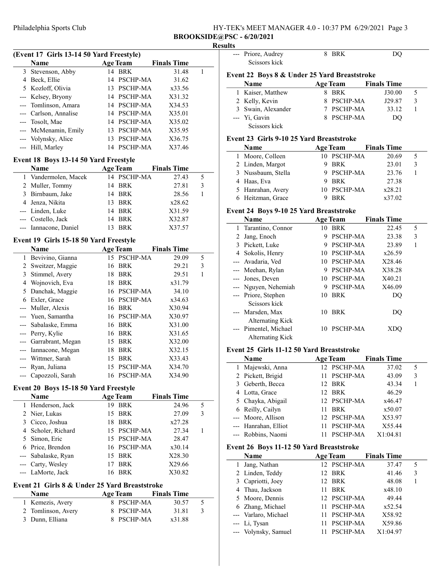## Philadelphia Sports Club HY-TEK's MEET MANAGER 4.0 - 10:37 PM 6/29/2021 Page 3 BROOKSIDE@PSC - 6/20/2021

Scissors kick

--- Priore, Audrey 8 BRK DQ

#### Results

|                | (Event 17 Girls 13-14 50 Yard Freestyle)      |    |                 |                    |   |
|----------------|-----------------------------------------------|----|-----------------|--------------------|---|
|                | Name                                          |    | <b>Age Team</b> | <b>Finals Time</b> |   |
| 3              | Stevenson, Abby                               | 14 | <b>BRK</b>      | 31.48              | 1 |
| 4              | Beck, Ellie                                   | 14 | <b>PSCHP-MA</b> | 31.62              |   |
|                | 5 Kozloff, Olivia                             | 13 | PSCHP-MA        | x33.56             |   |
| ---            | Kelsey, Bryony                                |    | 14 PSCHP-MA     | X31.32             |   |
| ---            | Tomlinson, Amara                              |    | 14 PSCHP-MA     | X34.53             |   |
| ---            | Carlson, Annalise                             |    | 14 PSCHP-MA     | X35.01             |   |
| ---            | Tosolt, Mae                                   |    | 14 PSCHP-MA     | X35.02             |   |
| ---            | McMenamin, Emily                              |    | 13 PSCHP-MA     | X35.95             |   |
| ---            | Volynsky, Alice                               | 13 | PSCHP-MA        | X36.75             |   |
| ---            | Hill, Marley                                  | 14 | PSCHP-MA        | X37.46             |   |
|                | Event 18 Boys 13-14 50 Yard Freestyle         |    |                 |                    |   |
|                | Name                                          |    | <b>Age Team</b> | <b>Finals Time</b> |   |
| 1              | Vandermolen, Macek                            | 14 | <b>PSCHP-MA</b> | 27.43              | 5 |
| 2              | Muller, Tommy                                 | 14 | <b>BRK</b>      | 27.81              | 3 |
| 3              | Birnbaum, Jake                                | 14 | BRK             | 28.56              | 1 |
|                | 4 Jenza, Nikita                               | 13 | BRK             | x28.62             |   |
|                | --- Linden, Luke                              | 14 | BRK             | X31.59             |   |
| ---            | Costello, Jack                                | 14 | <b>BRK</b>      | X32.87             |   |
| ---            | Iannacone, Daniel                             | 13 | BRK             | X37.57             |   |
|                |                                               |    |                 |                    |   |
|                | Event 19 Girls 15-18 50 Yard Freestyle        |    |                 |                    |   |
|                | Name                                          |    | <b>Age Team</b> | <b>Finals Time</b> |   |
| 1              | Bevivino, Gianna                              |    | 15 PSCHP-MA     | 29.09              | 5 |
| 2              | Sweitzer, Maggie                              | 16 | <b>BRK</b>      | 29.21              | 3 |
| 3              | Stimmel, Avery                                | 18 | BRK             | 29.51              | 1 |
| 4              | Wojnovich, Eva                                | 18 | BRK             | x31.79             |   |
| 5              | Danchak, Maggie                               | 16 | PSCHP-MA        | 34.10              |   |
| 6              | Exler, Grace                                  | 16 | PSCHP-MA        | x34.63             |   |
| ---            | Muller, Alexis                                | 16 | BRK             | X30.94             |   |
| ---            | Yuen, Samantha                                | 16 | <b>PSCHP-MA</b> | X30.97             |   |
| ---            | Sabalaske, Emma                               | 16 | BRK             | X31.00             |   |
| ---            | Perry, Kylie                                  | 16 | BRK             | X31.65             |   |
| ---            | Garrabrant, Megan                             |    | 15 BRK          | X32.00             |   |
| ---            | Iannacone, Megan                              | 18 | BRK             | X32.15             |   |
| ---            | Wittmer, Sarah                                | 15 | BRK             | X33.43             |   |
| ---            | Ryan, Juliana                                 | 15 | PSCHP-MA        | X34.70             |   |
|                | --- Capozzoli, Sarah                          |    | 16 PSCHP-MA     | X34.90             |   |
|                | Event 20 Boys 15-18 50 Yard Freestyle         |    |                 |                    |   |
|                | Name                                          |    | <b>Age Team</b> | <b>Finals Time</b> |   |
| 1              | Henderson, Jack                               |    | 19 BRK          | 24.96              | 5 |
| $\overline{c}$ | Nier, Lukas                                   | 15 | <b>BRK</b>      | 27.09              | 3 |
| 3              | Cicco, Joshua                                 | 18 | <b>BRK</b>      | x27.28             |   |
| 4              | Scholer, Richard                              |    | 15 PSCHP-MA     | 27.34              | 1 |
| 5              | Simon, Eric                                   | 15 | PSCHP-MA        | 28.47              |   |
| 6              | Price, Brendon                                |    | 16 PSCHP-MA     | x30.14             |   |
|                | Sabalaske, Ryan                               | 15 | BRK             | X28.30             |   |
| ---            | Carty, Wesley                                 | 17 | BRK             | X29.66             |   |
| ---            | LaMorte, Jack                                 | 16 | <b>BRK</b>      | X30.82             |   |
|                |                                               |    |                 |                    |   |
|                | Event 21 Girls 8 & Under 25 Yard Breaststroke |    |                 |                    |   |
|                | Name                                          |    | <b>Age Team</b> | <b>Finals Time</b> |   |

| гуание             | дес теаш   | гшав гше |        |               |
|--------------------|------------|----------|--------|---------------|
| 1 Kemezis, Avery   | 8 PSCHP-MA |          | 30.57  | $\mathcal{L}$ |
| 2 Tomlinson, Avery | 8 PSCHP-MA |          | 31.81  | -3            |
| 3 Dunn, Elliana    | 8 PSCHP-MA |          | x31.88 |               |
|                    |            |          |        |               |

|              | Event 22 Boys 8 & Under 25 Yard Breaststroke |    |                 |                    |              |  |
|--------------|----------------------------------------------|----|-----------------|--------------------|--------------|--|
|              | Name                                         |    | <b>Age Team</b> | <b>Finals Time</b> |              |  |
| 1            | Kaiser, Matthew                              | 8  | <b>BRK</b>      | J30.00             | 5            |  |
| 2            | Kelly, Kevin                                 | 8  | PSCHP-MA        | J29.87             | 3            |  |
| 3            | Swain, Alexander                             | 7  | PSCHP-MA        | 33.12              | 1            |  |
|              | Yi, Gavin                                    | 8. | PSCHP-MA        | DO                 |              |  |
|              | Scissors kick                                |    |                 |                    |              |  |
|              | Event 23 Girls 9-10 25 Yard Breaststroke     |    |                 |                    |              |  |
|              | Name                                         |    | <b>Age Team</b> | <b>Finals Time</b> |              |  |
| 1            | Moore, Colleen                               |    | 10 PSCHP-MA     | 20.69              | 5            |  |
|              | 2 Linden, Margot                             | 9  | <b>BRK</b>      | 23.01              | 3            |  |
| 3            | Nussbaum, Stella                             | 9  | PSCHP-MA        | 23.76              | $\mathbf{1}$ |  |
| 4            | Haas, Eva                                    | 9  | <b>BRK</b>      | 27.38              |              |  |
| 5            | Hanrahan, Avery                              |    | 10 PSCHP-MA     | x28.21             |              |  |
| 6            | Heitzman, Grace                              | 9  | <b>BRK</b>      | x37.02             |              |  |
|              | Event 24 Boys 9-10 25 Yard Breaststroke      |    |                 |                    |              |  |
|              | Name                                         |    | <b>Age Team</b> | <b>Finals Time</b> |              |  |
| $\mathbf{1}$ | Tarantino, Connor                            |    | 10 BRK          | 22.45              | 5            |  |
| 2            | Jang, Enoch                                  | 9  | PSCHP-MA        | 23.38              | 3            |  |
| 3            | Pickett, Luke                                | 9  | PSCHP-MA        | 23.89              | 1            |  |
| 4            | Sokolis, Henry                               |    | 10 PSCHP-MA     | x26.59             |              |  |

--- Avadaria, Ved 10 PSCHP-MA X28.46 --- Meehan, Rylan 9 PSCHP-MA X38.28 --- Jones, Deven 10 PSCHP-MA X40.21<br>--- Nguyen, Nehemiah 9 PSCHP-MA X46.09 --- Nguyen, Nehemiah 9 PSCHP-MA X46.09 --- Priore, Stephen 10 BRK DQ

--- Marsden, Max 10 BRK DQ

--- Pimentel, Michael 10 PSCHP-MA XDQ

# Event 25 Girls 11-12 50 Yard Breaststroke

Scissors kick

Alternating Kick

Alternating Kick

| Name                 | <b>Age Team</b> | <b>Finals Time</b> |   |
|----------------------|-----------------|--------------------|---|
| 1 Majewski, Anna     | 12 PSCHP-MA     | 37.02              | 5 |
| 2 Pickett, Brigid    | PSCHP-MA        | 43.09              | 3 |
| 3 Geberth, Becca     | 12 BRK          | 43.34              |   |
| 4 Lotta, Grace       | 12 BRK          | 46.29              |   |
| 5 Chayka, Abigail    | 12 PSCHP-MA     | x46.47             |   |
| 6 Reilly, Cailyn     | <b>BRK</b>      | x50.07             |   |
| --- Moore, Allison   | 12 PSCHP-MA     | X53.97             |   |
| --- Hanrahan, Elliot | PSCHP-MA        | X55.44             |   |
| --- Robbins, Naomi   | PSCHP-MA        | X1:04.81           |   |

### Event 26 Boys 11-12 50 Yard Breaststroke

| Name                 | <b>Age Team</b> | <b>Finals Time</b> |   |
|----------------------|-----------------|--------------------|---|
| 1 Jang, Nathan       | 12 PSCHP-MA     | 37.47              | 5 |
| 2 Linden, Teddy      | 12 BRK          | 41.46              | 3 |
| 3 Capriotti, Joey    | 12 BRK          | 48.08              |   |
| 4 Thau, Jackson      | <b>BRK</b>      | x48.10             |   |
| 5 Moore, Dennis      | 12 PSCHP-MA     | 49.44              |   |
| 6 Zhang, Michael     | 11 PSCHP-MA     | x52.54             |   |
| --- Varlaro, Michael | PSCHP-MA        | X58.92             |   |
| --- Li, Tysan        | <b>PSCHP-MA</b> | X59.86             |   |
| --- Volynsky, Samuel | <b>PSCHP-MA</b> | X1:04.97           |   |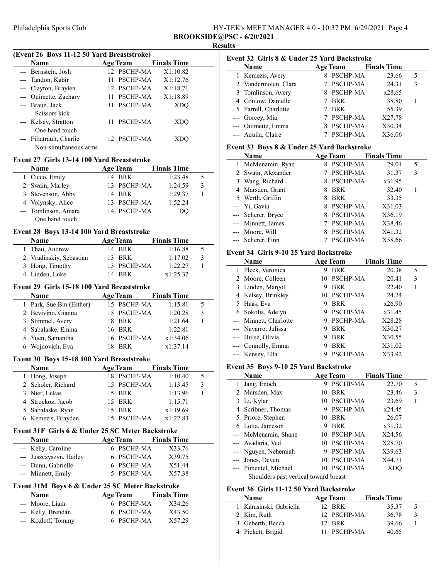| HY-TEK's MEET MANAGER 4.0 - 10:37 PM 6/29/2021 Page 4 |  |
|-------------------------------------------------------|--|
| <b>BROOKSIDE@PSC - 6/20/2021</b>                      |  |

## Results

 $\overline{a}$ 

 $\overline{a}$ 

 $\overline{\phantom{a}}$ 

| (Event 26 Boys 11-12 50 Yard Breaststroke) |                          |    |                 |                    |  |
|--------------------------------------------|--------------------------|----|-----------------|--------------------|--|
|                                            | Name                     |    | <b>Age Team</b> | <b>Finals Time</b> |  |
|                                            | --- Bernstein, Josh      |    | 12 PSCHP-MA     | X1:10.82           |  |
|                                            | --- Tandon, Kabir        | 11 | PSCHP-MA        | X1:12.76           |  |
|                                            | Clayton, Braylen         |    | 12 PSCHP-MA     | X1:18.71           |  |
|                                            | --- Ouimette, Zachary    | 11 | PSCHP-MA        | X1:18.89           |  |
|                                            | --- Braun, Jack          | 11 | PSCHP-MA        | XDO                |  |
|                                            | Scissors kick            |    |                 |                    |  |
|                                            | --- Kelsey, Stratton     |    | 11 PSCHP-MA     | XDO                |  |
|                                            | One hand touch           |    |                 |                    |  |
|                                            | --- Filiatrault, Charlie |    | 12 PSCHP-MA     | XDO                |  |
|                                            | Non-simultaneous arms    |    |                 |                    |  |
| Event 27 Girls 13-14 100 Yard Breaststroke |                          |    |                 |                    |  |
|                                            | <b>Name</b>              |    | Age Team        | <b>Finals Time</b> |  |

| таше                 | лес теаш    | тицаю типе |   |  |
|----------------------|-------------|------------|---|--|
| 1 Cicco, Emily       | 14 BRK      | 1:23.48    | 5 |  |
| 2 Swain, Marley      | 13 PSCHP-MA | 1:24.59    | 3 |  |
| 3 Stevenson, Abby    | 14 BRK      | 1:29.37    |   |  |
| 4 Volynsky, Alice    | 13 PSCHP-MA | 1:52.24    |   |  |
| --- Tomlinson, Amara | 14 PSCHP-MA | DO         |   |  |
| One hand touch       |             |            |   |  |

#### Event 28 Boys 13-14 100 Yard Breaststroke

| <b>Name</b>             | <b>Age Team</b> | <b>Finals Time</b> |   |
|-------------------------|-----------------|--------------------|---|
| 1 Thau, Andrew          | 14 BRK          | 1:16.88            |   |
| 2 Vradinskiy, Sebastian | 13 BRK          | 1:17.02            | 3 |
| 3 Hong, Timothy         | 13 PSCHP-MA     | 1:22.27            |   |
| 4 Linden, Luke          | 14 BRK          | x1:25.32           |   |

#### Event 29 Girls 15-18 100 Yard Breaststroke

| 3 |
|---|
|   |
|   |
|   |
|   |
|   |

#### Event 30 Boys 15-18 100 Yard Breaststroke

| <b>Name</b>        | <b>Age Team</b> | <b>Finals Time</b> |  |
|--------------------|-----------------|--------------------|--|
| 1 Hong, Joseph     | 18 PSCHP-MA     | 1:10.40            |  |
| 2 Scholer, Richard | 15 PSCHP-MA     | 1:13.45            |  |
| 3 Nier, Lukas      | 15 BRK          | 1:13.96            |  |
| 4 Strockoz, Jacob  | 15 BRK          | 1:15.71            |  |
| 5 Sabalaske, Ryan  | 15 BRK          | x1:19.69           |  |
| 6 Kemezis, Brayden | 15 PSCHP-MA     | x1:22.83           |  |

## Event 31F Girls 6 & Under 25 SC Meter Backstroke

 $\overline{a}$ 

| <b>Name</b>             | <b>Age Team</b> | <b>Finals Time</b> |
|-------------------------|-----------------|--------------------|
| --- Kelly, Caroline     | 6 PSCHP-MA      | X33.76             |
| --- Juszczyszyn, Hailey | 6 PSCHP-MA      | X39.75             |
| --- Dunn, Gabrielle     | 6 PSCHP-MA      | X51.44             |
| --- Minnett, Emily      | 5 PSCHP-MA      | X57.38             |

### Event 31M Boys 6 & Under 25 SC Meter Backstroke

| <b>Name</b>        | <b>Age Team</b> | <b>Finals Time</b> |
|--------------------|-----------------|--------------------|
| --- Moore, Liam    | 6 PSCHP-MA      | X34.26             |
| --- Kelly, Brendan | 6 PSCHP-MA      | X43.50             |
| --- Kozloff, Tommy | 6 PSCHP-MA      | X57.29             |

| Event 32 Girls 8 & Under 25 Yard Backstroke |                      |  |                 |                    |   |  |
|---------------------------------------------|----------------------|--|-----------------|--------------------|---|--|
|                                             | <b>Name</b>          |  | <b>Age Team</b> | <b>Finals Time</b> |   |  |
|                                             | 1 Kemezis, Avery     |  | PSCHP-MA        | 23.66              | 5 |  |
|                                             | 2 Vandermolen, Clara |  | PSCHP-MA        | 24.31              | 3 |  |
|                                             | 3 Tomlinson, Avery   |  | 8 PSCHP-MA      | x28.65             |   |  |
|                                             | 4 Conlow, Danielle   |  | <b>BRK</b>      | 38.80              |   |  |
|                                             | 5 Farrell, Charlotte |  | <b>BRK</b>      | 55.39              |   |  |
|                                             | --- Gorcey, Mia      |  | PSCHP-MA        | X27.78             |   |  |
|                                             | --- Ouimette, Emma   |  | <b>PSCHP-MA</b> | X30.34             |   |  |
|                                             | --- Aquila, Claire   |  | PSCHP-MA        | X36.06             |   |  |

#### Event 33 Boys 8 & Under 25 Yard Backstroke

| <b>Name</b>        |    | <b>Age Team</b> | <b>Finals Time</b> |   |
|--------------------|----|-----------------|--------------------|---|
| 1 McMenamin, Ryan  | 8  | PSCHP-MA        | 29.01              | 5 |
| 2 Swain, Alexander |    | PSCHP-MA        | 31.37              | 3 |
| 3 Wang, Richard    | 8. | PSCHP-MA        | x31.95             |   |
| 4 Marsden, Grant   | 8  | <b>BRK</b>      | 32.40              |   |
| 5 Werth, Griffin   | 8  | BRK             | 33.35              |   |
| --- Yi, Gavin      | 8  | PSCHP-MA        | X31.03             |   |
| --- Scherer, Bryce | 8. | PSCHP-MA        | X36.19             |   |
| --- Minnett, James |    | PSCHP-MA        | X38.46             |   |
| --- Moore, Will    |    | <b>PSCHP-MA</b> | X41.32             |   |
| --- Scherer, Finn  |    | PSCHP-MA        | X58.66             |   |

#### Event 34 Girls 9-10 25 Yard Backstroke

| <b>Name</b>            |   | <b>Age Team</b> | <b>Finals Time</b> |   |
|------------------------|---|-----------------|--------------------|---|
| Fleck, Veronica        | 9 | <b>BRK</b>      | 20.38              | 5 |
| 2 Moore, Colleen       |   | 10 PSCHP-MA     | 20.41              | 3 |
| 3 Linden, Margot       | 9 | <b>BRK</b>      | 22.40              |   |
| 4 Kelsey, Brinkley     |   | 10 PSCHP-MA     | 24.24              |   |
| 5 Haas, Eva            | 9 | <b>BRK</b>      | x26.90             |   |
| 6 Sokolis, Adelyn      | 9 | PSCHP-MA        | x31.45             |   |
| --- Minnett, Charlotte | 9 | <b>PSCHP-MA</b> | X28.28             |   |
| --- Navarro, Julissa   | 9 | <b>BRK</b>      | X30.27             |   |
| --- Hulse, Olivia      | 9 | <b>BRK</b>      | X30.55             |   |
| --- Connolly, Emma     | 9 | <b>BRK</b>      | X31.02             |   |
| --- Kensey, Ella       |   | PSCHP-MA        | X33.92             |   |

#### Event 35 Boys 9-10 25 Yard Backstroke

| <b>Name</b>                           |    | <b>Age Team</b> | <b>Finals Time</b> |   |
|---------------------------------------|----|-----------------|--------------------|---|
| Jang, Enoch                           | 9  | <b>PSCHP-MA</b> | 22.70              | 5 |
| 2 Marsden, Max                        | 10 | <b>BRK</b>      | 23.46              | 3 |
| 3 Li, Kylar                           | 10 | PSCHP-MA        | 23.69              |   |
| 4 Scribner, Thomas                    | 9  | <b>PSCHP-MA</b> | x24.45             |   |
| 5 Priore, Stephen                     | 10 | <b>BRK</b>      | 26.07              |   |
| 6 Lotta, Jameson                      | 9  | <b>BRK</b>      | x31.32             |   |
| --- McMenamin, Shane                  | 10 | PSCHP-MA        | X24.56             |   |
| --- Avadaria, Ved                     |    | 10 PSCHP-MA     | X28.70             |   |
| --- Nguyen, Nehemiah                  | 9  | PSCHP-MA        | X39.63             |   |
| --- Jones, Deven                      | 10 | PSCHP-MA        | X44.71             |   |
| --- Pimentel, Michael                 | 10 | PSCHP-MA        | XDO                |   |
| Shoulders past vertical toward breast |    |                 |                    |   |

#### Event 36 Girls 11-12 50 Yard Backstroke

| <b>Name</b>             | <b>Age Team</b> | <b>Finals Time</b> |               |
|-------------------------|-----------------|--------------------|---------------|
| 1 Karasinski, Gabriella | 12. BRK         | 35.37              |               |
| 2 Kim, Ruth             | 12 PSCHP-MA     | 36.78              | $\mathcal{R}$ |
| 3 Geberth, Becca        | 12 BRK          | 39.66              |               |
| 4 Pickett, Brigid       | 11 PSCHP-MA     | 40.65              |               |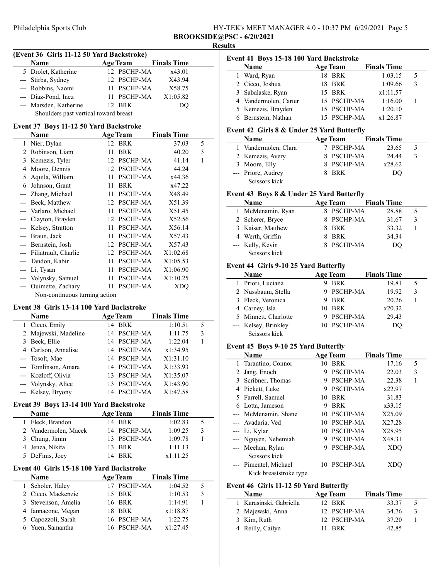Philadelphia Sports Club **BR** 

| HY-TEK's MEET MANAGER 4.0 - 10:37 PM 6/29/2021 Page 5 |  |
|-------------------------------------------------------|--|
| <b>BROOKSIDE@PSC - 6/20/2021</b>                      |  |

## Results

 $\overline{a}$ 

| (Event 36 Girls 11-12 50 Yard Backstroke) |                        |  |             |                      |  |
|-------------------------------------------|------------------------|--|-------------|----------------------|--|
|                                           | Name                   |  |             | Age Team Finals Time |  |
|                                           | 5 Drolet, Katherine    |  | 12 PSCHP-MA | x43.01               |  |
|                                           | --- Stirba, Sydney     |  | 12 PSCHP-MA | X43.94               |  |
|                                           | --- Robbins, Naomi     |  | 11 PSCHP-MA | X58.75               |  |
|                                           | --- Diaz-Pond, Inez    |  | 11 PSCHP-MA | X1:05.82             |  |
|                                           | --- Marsden, Katherine |  | 12 BRK      | DO                   |  |

Shoulders past vertical toward breast

## Event 37 Boys 11-12 50 Yard Backstroke

|       | Name                          |    | <b>Age Team</b> | <b>Finals Time</b> |   |
|-------|-------------------------------|----|-----------------|--------------------|---|
| 1     | Nier, Dylan                   |    | 12 BRK          | 37.03              | 5 |
| 2     | Robinson, Liam                | 11 | <b>BRK</b>      | 40.20              | 3 |
| 3     | Kemezis, Tyler                | 12 | <b>PSCHP-MA</b> | 41.14              | 1 |
| 4     | Moore, Dennis                 | 12 | <b>PSCHP-MA</b> | 44.24              |   |
| 5     | Aquila, William               | 11 | PSCHP-MA        | x44.36             |   |
| 6     | Johnson, Grant                | 11 | <b>BRK</b>      | x47.22             |   |
|       | Zhang, Michael                | 11 | <b>PSCHP-MA</b> | X48.49             |   |
|       | Beck, Matthew                 | 12 | <b>PSCHP-MA</b> | X51.39             |   |
|       | Varlaro, Michael              | 11 | <b>PSCHP-MA</b> | X51.45             |   |
|       | Clayton, Braylen              |    | 12 PSCHP-MA     | X52.56             |   |
|       | --- Kelsey, Stratton          | 11 | PSCHP-MA        | X56.14             |   |
| $---$ | Braun, Jack                   | 11 | <b>PSCHP-MA</b> | X57.43             |   |
|       | --- Bernstein, Josh           | 12 | <b>PSCHP-MA</b> | X57.43             |   |
|       | Filiatrault, Charlie          | 12 | <b>PSCHP-MA</b> | X1:02.68           |   |
|       | Tandon, Kabir                 | 11 | <b>PSCHP-MA</b> | X1:05.53           |   |
|       | Li, Tysan                     | 11 | <b>PSCHP-MA</b> | X1:06.90           |   |
|       | Volynsky, Samuel              | 11 | <b>PSCHP-MA</b> | X1:10.25           |   |
| $---$ | Ouimette, Zachary             | 11 | <b>PSCHP-MA</b> | XDO                |   |
|       | Non-continuous turning action |    |                 |                    |   |

#### Event 38 Girls 13-14 100 Yard Backstroke

 $\overline{a}$ 

| <b>Name</b>          |     | <b>Age Team</b> | <b>Finals Time</b> |   |
|----------------------|-----|-----------------|--------------------|---|
| 1 Cicco, Emily       |     | 14 BRK          | 1:10.51            | 5 |
| 2 Majewski, Madeline |     | 14 PSCHP-MA     | 1:11.75            | 3 |
| 3 Beck, Ellie        |     | 14 PSCHP-MA     | 1:22.04            |   |
| 4 Carlson, Annalise  |     | 14 PSCHP-MA     | x1:34.95           |   |
| --- Tosolt, Mae      |     | 14 PSCHP-MA     | X1:31.10           |   |
| --- Tomlinson, Amara |     | 14 PSCHP-MA     | X1:33.93           |   |
| --- Kozloff, Olivia  |     | 13 PSCHP-MA     | X1:35.07           |   |
| --- Volynsky, Alice  | 13. | <b>PSCHP-MA</b> | X1:43.90           |   |
| --- Kelsey, Bryony   | 14  | PSCHP-MA        | X1:47.58           |   |

#### Event 39 Boys 13-14 100 Yard Backstroke

| <b>Name</b>          | <b>Age Team</b> | <b>Finals Time</b> |   |
|----------------------|-----------------|--------------------|---|
| 1 Fleck, Brandon     | 14 BRK          | 1:02.83            |   |
| 2 Vandermolen, Macek | 14 PSCHP-MA     | 1:09.25            | 3 |
| 3 Chung, Jimin       | 13 PSCHP-MA     | 1:09.78            |   |
| 4 Jenza, Nikita      | 13 BRK          | 1:11.13            |   |
| 5 DeFinis, Joey      | 14 BRK          | x1:11.25           |   |

#### Event 40 Girls 15-18 100 Yard Backstroke

| Name                | <b>Age Team</b> | <b>Finals Time</b> |   |
|---------------------|-----------------|--------------------|---|
| Scholer, Haley      | 17 PSCHP-MA     | 1:04.52            | 5 |
| 2 Cicco, Mackenzie  | 15 BRK          | 1:10.53            | 3 |
| 3 Stevenson, Amelia | 16 BRK          | 1:14.91            |   |
| 4 Iannacone, Megan  | 18 BRK          | x1:18.87           |   |
| 5 Capozzoli, Sarah  | 16 PSCHP-MA     | 1:22.75            |   |
| 6 Yuen, Samantha    | 16 PSCHP-MA     | x1:27.45           |   |

| 5 |
|---|
| 3 |
|   |
|   |
|   |
|   |
|   |

## Event 42 Girls 8 & Under 25 Yard Butterfly

| <b>Name</b>          | <b>Age Team</b> | <b>Finals Time</b> |  |
|----------------------|-----------------|--------------------|--|
| 1 Vandermolen, Clara | 7 PSCHP-MA      | 23.65              |  |
| 2 Kemezis, Avery     | 8 PSCHP-MA      | 24.44              |  |
| 3 Moore, Elly        | 8 PSCHP-MA      | x28.62             |  |
| --- Priore, Audrey   | 8 BRK           | DO                 |  |
| Scissors kick        |                 |                    |  |

## Event 43 Boys 8 & Under 25 Yard Butterfly

| Name              | <b>Age Team</b> | <b>Finals Time</b> |   |
|-------------------|-----------------|--------------------|---|
| 1 McMenamin, Ryan | 8 PSCHP-MA      | 28.88              |   |
| 2 Scherer, Bryce  | 8 PSCHP-MA      | 31.67              | 3 |
| 3 Kaiser, Matthew | BRK             | 33.32              |   |
| 4 Werth, Griffin  | BRK             | 34.34              |   |
| --- Kelly, Kevin  | 8 PSCHP-MA      | DO                 |   |
| Scissors kick     |                 |                    |   |

## Event 44 Girls 9-10 25 Yard Butterfly

| <b>Name</b>                           | <b>Age Team</b> | <b>Finals Time</b> |   |
|---------------------------------------|-----------------|--------------------|---|
| 1 Priori, Luciana                     | BRK             | 19.81              | 5 |
| 2 Nussbaum, Stella                    | 9 PSCHP-MA      | 19.92              | 3 |
| 3 Fleck, Veronica                     | BRK             | 20.26              |   |
| 4 Carney, Isla                        | 10 BRK          | x20.32             |   |
| 5 Minnett, Charlotte                  | 9 PSCHP-MA      | 29.43              |   |
| --- Kelsey, Brinkley<br>Scissors kick | 10 PSCHP-MA     | DO                 |   |

## Event 45 Boys 9-10 25 Yard Butterfly

|    | Name                   |     | <b>Age Team</b> | <b>Finals Time</b> |   |
|----|------------------------|-----|-----------------|--------------------|---|
| 1. | Tarantino, Connor      | 10  | <b>BRK</b>      | 17.16              | 5 |
| 2  | Jang, Enoch            | 9   | <b>PSCHP-MA</b> | 22.03              | 3 |
|    | 3 Scribner, Thomas     | 9   | <b>PSCHP-MA</b> | 22.38              |   |
|    | 4 Pickett, Luke        | 9   | <b>PSCHP-MA</b> | x22.97             |   |
|    | 5 Farrell, Samuel      | 10. | <b>BRK</b>      | 31.83              |   |
|    | 6 Lotta, Jameson       | 9   | <b>BRK</b>      | x33.15             |   |
|    | --- McMenamin, Shane   |     | 10 PSCHP-MA     | X25.09             |   |
|    | --- Avadaria, Ved      | 10  | PSCHP-MA        | X27.28             |   |
|    | --- Li, Kylar          |     | 10 PSCHP-MA     | X28.95             |   |
|    | --- Nguyen, Nehemiah   | 9   | <b>PSCHP-MA</b> | X48.31             |   |
|    | --- Meehan, Rylan      | 9   | PSCHP-MA        | XDO                |   |
|    | Scissors kick          |     |                 |                    |   |
|    | --- Pimentel, Michael  | 10  | <b>PSCHP-MA</b> | XDO                |   |
|    | Kick breaststroke type |     |                 |                    |   |

#### Event 46 Girls 11-12 50 Yard Butterfly

| <b>Name</b>             | <b>Age Team</b> | <b>Finals Time</b> |                          |
|-------------------------|-----------------|--------------------|--------------------------|
| 1 Karasinski, Gabriella | 12 BRK          | 33.37              | $\overline{\mathcal{L}}$ |
| 2 Majewski, Anna        | 12 PSCHP-MA     | 34.76              | $\mathcal{R}$            |
| 3 Kim, Ruth             | 12 PSCHP-MA     | 37.20              |                          |
| 4 Reilly, Cailyn        | 11 BRK          | 42.85              |                          |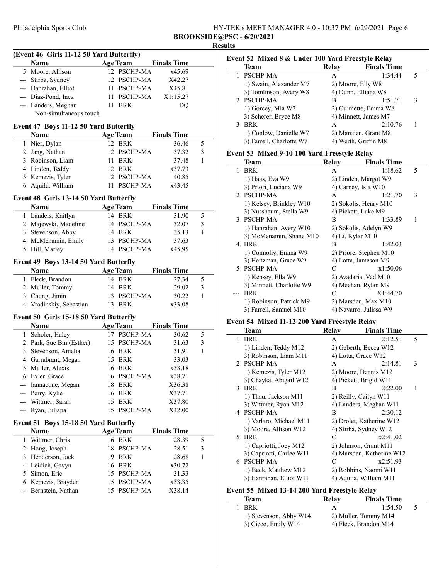(Event 46 Girls 11-12 50 Yard Butterfly)

| HY-TEK's MEET MANAGER 4.0 - 10:37 PM 6/29/2021 Page 6 |  |
|-------------------------------------------------------|--|
| <b>BROOKSIDE@PSC - 6/20/2021</b>                      |  |

## Name Age Team Finals Time 5 Moore, Allison 12 PSCHP-MA  $x45.69$ --- Stirba, Sydney 12 PSCHP-MA X42.27 --- Hanrahan, Elliot 11 PSCHP-MA X45.81 --- Diaz-Pond, Inez 11 PSCHP-MA X1:15.27 --- Landers, Meghan 11 BRK DQ Non-simultaneous touch Event 47 Boys 11-12 50 Yard Butterfly Name Age Team Finals Time 1 36.46 5 Nier, Dylan 12 BRK 2 Jang, Nathan 12 PSCHP-MA 37.32 3 3 37.48 1 Robinson, Liam 11 BRK 4 x37.73 Linden, Teddy 12 BRK 5 40.85 Kemezis, Tyler 12 PSCHP-MA 6 x43.45 Aquila, William 11 PSCHP-MA Event 48 Girls 13-14 50 Yard Butterfly Name Age Team Finals Time 1 31.90 5 Landers, Kaitlyn 14 BRK 2 Majewski, Madeline 14 PSCHP-MA 32.07 3 3 35.13 1 Stevenson, Abby 14 BRK 4 McMenamin, Emily 13 PSCHP-MA 37.63 5 x45.95 Hill, Marley 14 PSCHP-MA Event 49 Boys 13-14 50 Yard Butterfly Name **Age Team** Finals Time 1 27.34 5 Fleck, Brandon 14 BRK 2 Muller, Tommy 14 BRK 29.02 3 3 30.22 1 Chung, Jimin 13 PSCHP-MA 4 x33.08 Vradinskiy, Sebastian 13 BRK Event 50 Girls 15-18 50 Yard Butterfly Name Age Team Finals Time 1 30.62 5 Scholer, Haley 17 PSCHP-MA 2 Park, Sue Bin (Esther) 15 PSCHP-MA 31.63 3 3 Stevenson, Amelia 16 BRK 31.91 1 4 33.03 Garrabrant, Megan 15 BRK 5 x33.18 Muller, Alexis 16 BRK 6 x38.71 Exler, Grace 16 PSCHP-MA --- Iannacone, Megan 18 BRK X36.38 Perry, Kylie 16 BRK X37.71 --- Wittmer, Sarah 15 BRK X37.80 --- Ryan, Juliana 15 PSCHP-MA X42.00 Event 51 Boys 15-18 50 Yard Butterfly Name Age Team Finals Time 1 28.39 5 Wittmer, Chris 16 BRK 2 Hong, Joseph 18 PSCHP-MA 28.51 3 3 Henderson, Jack 19 BRK 28.68 1 4 x30.72 Leidich, Gavyn 16 BRK 5 31.33 Simon, Eric 15 PSCHP-MA 6 x33.35 Kemezis, Brayden 15 PSCHP-MA --- Bernstein, Nathan 15 PSCHP-MA X38.14

### Results Event 52 Mixed 8 & Under 100 Yard Freestyle Relay

| EVENT 32 TVITACU O OC UNIQUE TUU TATU FI CESTVIC INCIAV |       |                      |   |  |
|---------------------------------------------------------|-------|----------------------|---|--|
| Team                                                    | Relay | <b>Finals Time</b>   |   |  |
| PSCHP-MA                                                | А     | 1:34.44              | 5 |  |
| 1) Swain, Alexander M7                                  |       | 2) Moore, Elly W8    |   |  |
| 3) Tomlinson, Avery W8                                  |       | 4) Dunn, Elliana W8  |   |  |
| 2 PSCHP-MA                                              | В     | 1:51.71              | 3 |  |
| 1) Gorcey, Mia W7                                       |       | 2) Ouimette, Emma W8 |   |  |
| 3) Scherer, Bryce M8                                    |       | 4) Minnett, James M7 |   |  |
| <b>BRK</b>                                              | A     | 2:10.76              |   |  |
| 1) Conlow, Danielle W7                                  |       | 2) Marsden, Grant M8 |   |  |
| 3) Farrell, Charlotte W7                                |       | 4) Werth, Griffin M8 |   |  |

#### Event 53 Mixed 9-10 100 Yard Freestyle Relay

|               | <b>Team</b>              | Relay            | <b>Finals Time</b>     |   |
|---------------|--------------------------|------------------|------------------------|---|
| $\mathbf{1}$  | <b>BRK</b>               | A                | 1:18.62                | 5 |
|               | 1) Haas, Eva W9          |                  | 2) Linden, Margot W9   |   |
|               | 3) Priori, Luciana W9    |                  | 4) Carney, Isla W10    |   |
| $\mathcal{P}$ | <b>PSCHP-MA</b>          | A                | 1:21.70                | 3 |
|               | 1) Kelsey, Brinkley W10  |                  | 2) Sokolis, Henry M10  |   |
|               | 3) Nussbaum, Stella W9   |                  | 4) Pickett, Luke M9    |   |
|               | 3 PSCHP-MA               | B                | 1:33.89                | 1 |
|               | 1) Hanrahan, Avery W10   |                  | 2) Sokolis, Adelyn W9  |   |
|               | 3) McMenamin, Shane M10  | 4) Li, Kylar M10 |                        |   |
|               | 4 BRK                    | B                | 1:42.03                |   |
|               | 1) Connolly, Emma W9     |                  | 2) Priore, Stephen M10 |   |
|               | 3) Heitzman, Grace W9    |                  | 4) Lotta, Jameson M9   |   |
|               | 5 PSCHP-MA               | C                | x1:50.06               |   |
|               | 1) Kensey, Ella W9       |                  | 2) Avadaria, Ved M10   |   |
|               | 3) Minnett, Charlotte W9 |                  | 4) Meehan, Rylan M9    |   |
|               | BRK                      | C                | X1:44.70               |   |
|               | 1) Robinson, Patrick M9  |                  | 2) Marsden, Max M10    |   |
|               | 3) Farrell, Samuel M10   |                  | 4) Navarro, Julissa W9 |   |

#### Event 54 Mixed 11-12 200 Yard Freestyle Relay

|    | Team                     | Relay | <b>Finals Time</b>        |   |
|----|--------------------------|-------|---------------------------|---|
| 1  | <b>BRK</b>               | A     | 2:12.51                   | 5 |
|    | 1) Linden, Teddy M12     |       | 2) Geberth, Becca W12     |   |
|    | 3) Robinson, Liam M11    |       | 4) Lotta, Grace W12       |   |
|    | 2 PSCHP-MA               | A     | 2:14.81                   | 3 |
|    | 1) Kemezis, Tyler M12    |       | 2) Moore, Dennis M12      |   |
|    | 3) Chayka, Abigail W12   |       | 4) Pickett, Brigid W11    |   |
| 3  | <b>BRK</b>               | В     | 2:22.00                   | 1 |
|    | 1) Thau, Jackson M11     |       | 2) Reilly, Cailyn W11     |   |
|    | 3) Wittmer, Ryan M12     |       | 4) Landers, Meghan W11    |   |
|    | 4 PSCHP-MA               | B     | 2:30.12                   |   |
|    | 1) Varlaro, Michael M11  |       | 2) Drolet, Katherine W12  |   |
|    | 3) Moore, Allison W12    |       | 4) Stirba, Sydney W12     |   |
|    | 5 BRK                    | C     | x2:41.02                  |   |
|    | 1) Capriotti, Joey M12   |       | 2) Johnson, Grant M11     |   |
|    | 3) Capriotti, Carlee W11 |       | 4) Marsden, Katherine W12 |   |
| 6. | <b>PSCHP-MA</b>          | C     | x2:51.93                  |   |
|    | 1) Beck, Matthew M12     |       | 2) Robbins, Naomi W11     |   |
|    | 3) Hanrahan, Elliot W11  |       | 4) Aquila, William M11    |   |

#### Event 55 Mixed 13-14 200 Yard Freestyle Relay

| <b>Team</b>            | Relay | <b>Finals Time</b>    |  |
|------------------------|-------|-----------------------|--|
| <b>BRK</b>             | А     | 1:54.50               |  |
| 1) Stevenson, Abby W14 |       | 2) Muller, Tommy M14  |  |
| 3) Cicco, Emily W14    |       | 4) Fleck, Brandon M14 |  |